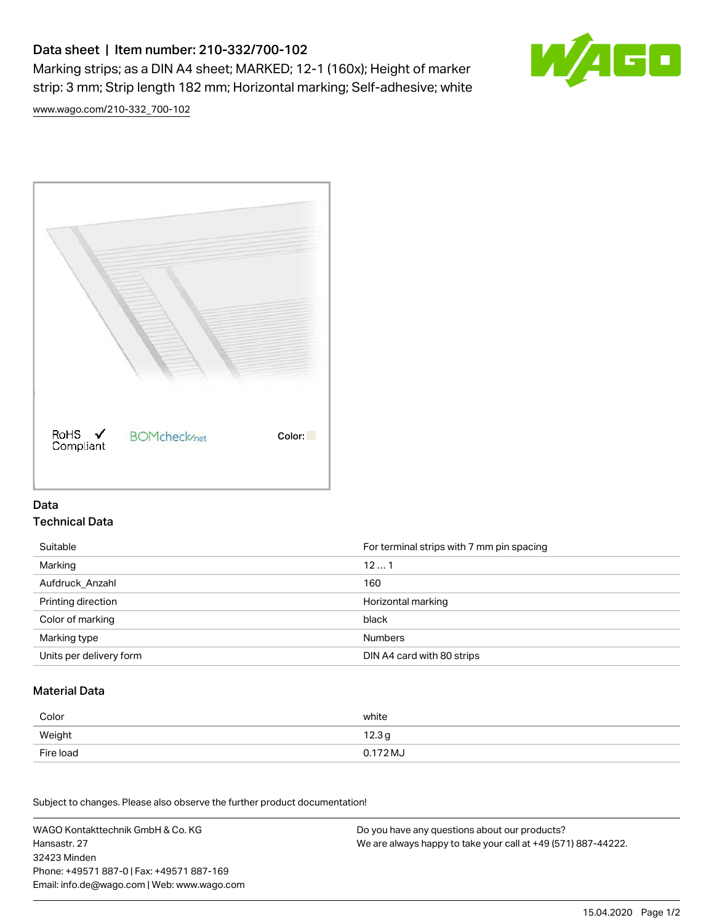# Data sheet | Item number: 210-332/700-102

Marking strips; as a DIN A4 sheet; MARKED; 12-1 (160x); Height of marker strip: 3 mm; Strip length 182 mm; Horizontal marking; Self-adhesive; white



[www.wago.com/210-332\\_700-102](http://www.wago.com/210-332_700-102)



### Data Technical Data

| Suitable                | For terminal strips with 7 mm pin spacing |
|-------------------------|-------------------------------------------|
| Marking                 | 121                                       |
| Aufdruck Anzahl         | 160                                       |
| Printing direction      | Horizontal marking                        |
| Color of marking        | black                                     |
| Marking type            | <b>Numbers</b>                            |
| Units per delivery form | DIN A4 card with 80 strips                |

#### Material Data

| Color     | white                |
|-----------|----------------------|
| Weight    | 12.3g                |
| Fire load | 0.172 M <sub>o</sub> |

Subject to changes. Please also observe the further product documentation!

WAGO Kontakttechnik GmbH & Co. KG Hansastr. 27 32423 Minden Phone: +49571 887-0 | Fax: +49571 887-169 Email: info.de@wago.com | Web: www.wago.com Do you have any questions about our products? We are always happy to take your call at +49 (571) 887-44222.